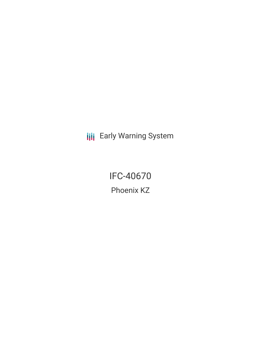**III** Early Warning System

IFC-40670 Phoenix KZ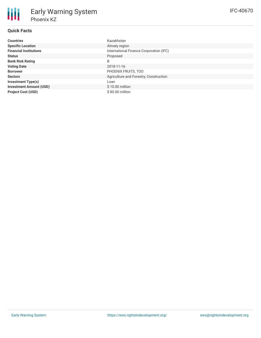| <b>Countries</b>               | Kazakhstan                              |
|--------------------------------|-----------------------------------------|
| <b>Specific Location</b>       | Almaty region                           |
| <b>Financial Institutions</b>  | International Finance Corporation (IFC) |
| <b>Status</b>                  | Proposed                                |
| <b>Bank Risk Rating</b>        | B                                       |
| <b>Voting Date</b>             | 2018-11-16                              |
| <b>Borrower</b>                | PHOENIX FRUITS, TOO                     |
| <b>Sectors</b>                 | Agriculture and Forestry, Construction  |
| <b>Investment Type(s)</b>      | Loan                                    |
| <b>Investment Amount (USD)</b> | $$10.00$ million                        |
| <b>Project Cost (USD)</b>      | \$80.00 million                         |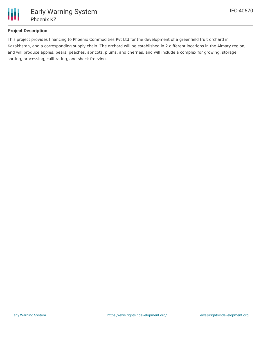

# **Project Description**

This project provides financing to Phoenix Commodities Pvt Ltd for the development of a greenfield fruit orchard in Kazakhstan, and a corresponding supply chain. The orchard will be established in 2 different locations in the Almaty region, and will produce apples, pears, peaches, apricots, plums, and cherries, and will include a complex for growing, storage, sorting, processing, calibrating, and shock freezing.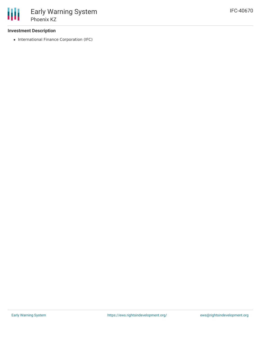## **Investment Description**

• International Finance Corporation (IFC)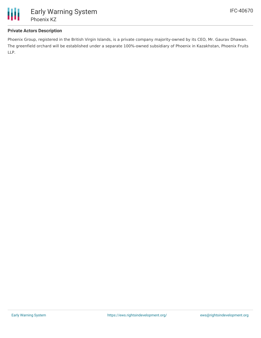

## **Private Actors Description**

Phoenix Group, registered in the British Virgin Islands, is a private company majority-owned by its CEO, Mr. Gaurav Dhawan. The greenfield orchard will be established under a separate 100%-owned subsidiary of Phoenix in Kazakhstan, Phoenix Fruits LLP.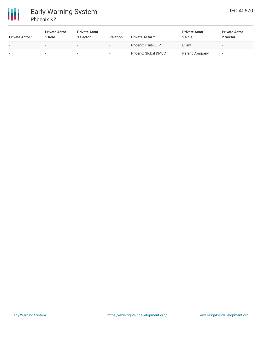冊 Early Warning System Phoenix KZ

| <b>Private Actor 1</b> | <b>Private Actor</b><br>1 Role | <b>Private Actor</b><br>1 Sector | <b>Relation</b> | <b>Private Actor 2</b>     | <b>Private Actor</b><br>2 Role | <b>Private Actor</b><br>2 Sector |
|------------------------|--------------------------------|----------------------------------|-----------------|----------------------------|--------------------------------|----------------------------------|
| $\sim$                 | $\overline{\phantom{a}}$       | $\sim$                           |                 | <b>Phoenix Fruits LLP</b>  | Client                         | -                                |
| ۰                      | -                              |                                  |                 | <b>Phoenix Global DMCC</b> | Parent Company                 |                                  |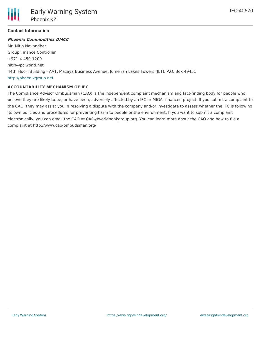

### **Contact Information**

#### **Phoenix Commodities DMCC**

Mr. Nitin Navandher Group Finance Controller +971-4-450-1200 nitin@pclworld.net 44th Floor, Building - AA1, Mazaya Business Avenue, Jumeirah Lakes Towers (JLT), P.O. Box 49451 <http://phoenixgroup.net>

#### **ACCOUNTABILITY MECHANISM OF IFC**

The Compliance Advisor Ombudsman (CAO) is the independent complaint mechanism and fact-finding body for people who believe they are likely to be, or have been, adversely affected by an IFC or MIGA- financed project. If you submit a complaint to the CAO, they may assist you in resolving a dispute with the company and/or investigate to assess whether the IFC is following its own policies and procedures for preventing harm to people or the environment. If you want to submit a complaint electronically, you can email the CAO at CAO@worldbankgroup.org. You can learn more about the CAO and how to file a complaint at http://www.cao-ombudsman.org/